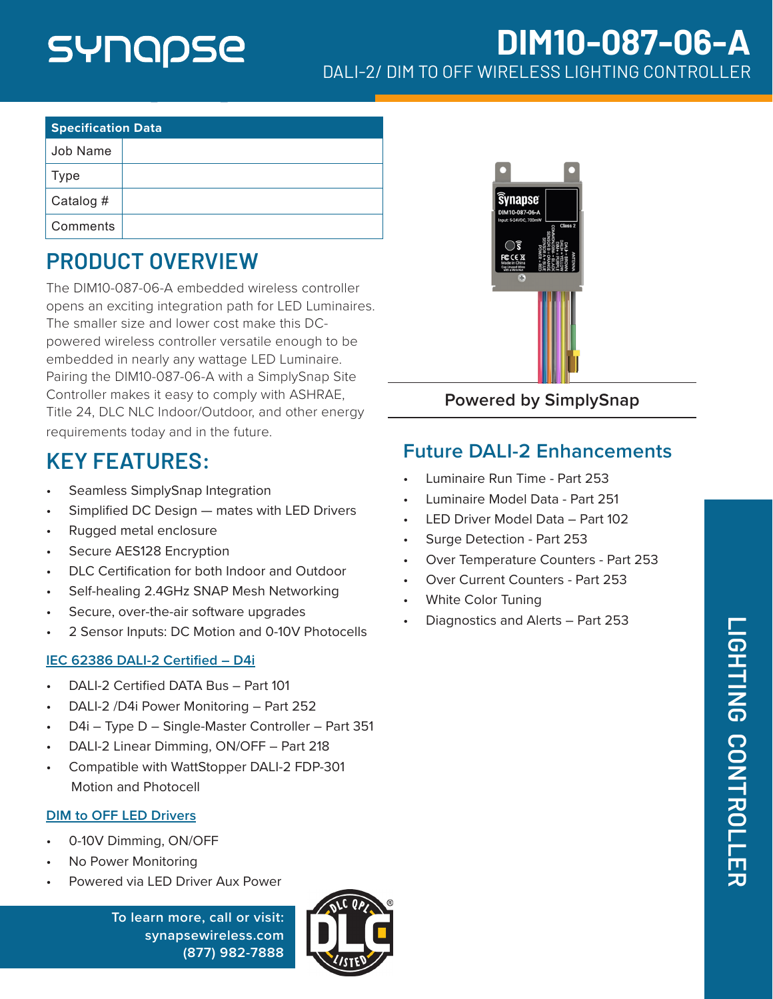# SYNQQSE

# **DIM10-087-06-A** DALI-2/ DIM TO OFF WIRELESS LIGHTING CONTROLLER

| <b>Specification Data</b> |  |  |  |
|---------------------------|--|--|--|
| Job Name                  |  |  |  |
| <b>Type</b>               |  |  |  |
| Catalog #                 |  |  |  |
| Comments                  |  |  |  |

## **PRODUCT OVERVIEW**

The DIM10-087-06-A embedded wireless controller opens an exciting integration path for LED Luminaires. The smaller size and lower cost make this DCpowered wireless controller versatile enough to be embedded in nearly any wattage LED Luminaire. Pairing the DIM10-087-06-A with a SimplySnap Site Controller makes it easy to comply with ASHRAE, Title 24, DLC NLC Indoor/Outdoor, and other energy requirements today and in the future.

## **KEY FEATURES:**

- Seamless SimplySnap Integration
- Simplified DC Design mates with LED Drivers
- Rugged metal enclosure
- Secure AES128 Encryption
- DLC Certification for both Indoor and Outdoor
- Self-healing 2.4GHz SNAP Mesh Networking
- Secure, over-the-air software upgrades
- 2 Sensor Inputs: DC Motion and 0-10V Photocells

#### **IEC 62386 DALI-2 Certified – D4i**

- DALI-2 Certified DATA Bus Part 101
- DALI-2 /D4i Power Monitoring Part 252
- D4i Type D Single-Master Controller Part 351
- DALI-2 Linear Dimming, ON/OFF Part 218
- Compatible with WattStopper DALI-2 FDP-301 Motion and Photocell

#### **DIM to OFF LED Drivers**

- 0-10V Dimming, ON/OFF
- No Power Monitoring
- Powered via LED Driver Aux Power

**To learn more, call or visit: [synapsewireless.com](http://www.synapse-wireless.com) (877) 982-7888**





**Powered by SimplySnap**

#### **Future DALI-2 Enhancements**

- Luminaire Run Time Part 253
- Luminaire Model Data Part 251
- LED Driver Model Data Part 102
- Surge Detection Part 253
- Over Temperature Counters Part 253
- Over Current Counters Part 253
- White Color Tuning
- Diagnostics and Alerts Part 253